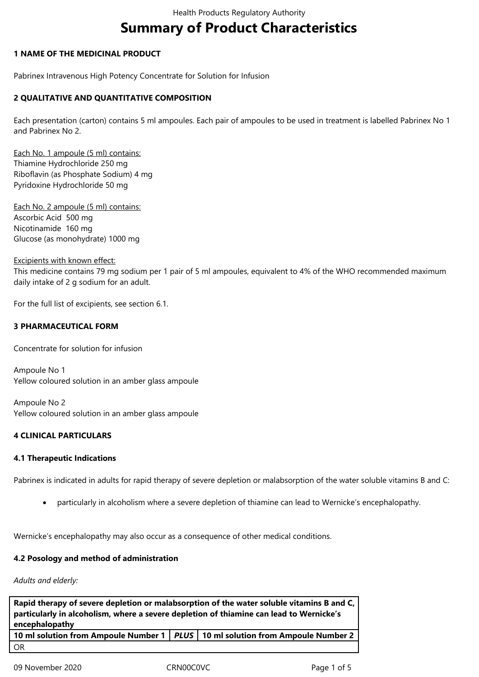# **Summary of Product Characteristics**

# **1 NAME OF THE MEDICINAL PRODUCT**

Pabrinex Intravenous High Potency Concentrate for Solution for Infusion

# **2 QUALITATIVE AND QUANTITATIVE COMPOSITION**

Each presentation (carton) contains 5 ml ampoules. Each pair of ampoules to be used in treatment is labelled Pabrinex No 1 and Pabrinex No 2.

Each No. 1 ampoule (5 ml) contains: Thiamine Hydrochloride 250 mg Riboflavin (as Phosphate Sodium) 4 mg Pyridoxine Hydrochloride 50 mg

Each No. 2 ampoule (5 ml) contains: Ascorbic Acid 500 mg Nicotinamide 160 mg Glucose (as monohydrate) 1000 mg

#### Excipients with known effect:

This medicine contains 79 mg sodium per 1 pair of 5 ml ampoules, equivalent to 4% of the WHO recommended maximum daily intake of 2 g sodium for an adult.

For the full list of excipients, see section 6.1.

# **3 PHARMACEUTICAL FORM**

Concentrate for solution for infusion

Ampoule No 1 Yellow coloured solution in an amber glass ampoule

Ampoule No 2 Yellow coloured solution in an amber glass ampoule

# **4 CLINICAL PARTICULARS**

# **4.1 Therapeutic Indications**

Pabrinex is indicated in adults for rapid therapy of severe depletion or malabsorption of the water soluble vitamins B and C:

particularly in alcoholism where a severe depletion of thiamine can lead to Wernicke's encephalopathy.

Wernicke's encephalopathy may also occur as a consequence of other medical conditions.

# **4.2 Posology and method of administration**

*Adults and elderly:*

| Rapid therapy of severe depletion or malabsorption of the water soluble vitamins B and C,<br>particularly in alcoholism, where a severe depletion of thiamine can lead to Wernicke's |  |  |  |  |
|--------------------------------------------------------------------------------------------------------------------------------------------------------------------------------------|--|--|--|--|
|                                                                                                                                                                                      |  |  |  |  |
| 10 ml solution from Ampoule Number 1   PLUS   10 ml solution from Ampoule Number 2                                                                                                   |  |  |  |  |
| -OR                                                                                                                                                                                  |  |  |  |  |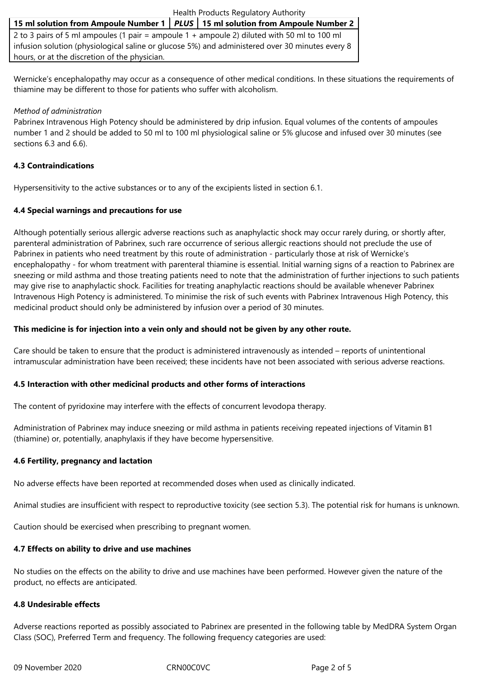| Health Products Regulatory Authority                                                            |  |  |  |  |
|-------------------------------------------------------------------------------------------------|--|--|--|--|
| 15 ml solution from Ampoule Number 1   PLUS   15 ml solution from Ampoule Number 2              |  |  |  |  |
| 2 to 3 pairs of 5 ml ampoules (1 pair = ampoule 1 + ampoule 2) diluted with 50 ml to 100 ml     |  |  |  |  |
| infusion solution (physiological saline or glucose 5%) and administered over 30 minutes every 8 |  |  |  |  |

hours, or at the discretion of the physician.

Wernicke's encephalopathy may occur as a consequence of other medical conditions. In these situations the requirements of thiamine may be different to those for patients who suffer with alcoholism.

#### *Method of administration*

Pabrinex Intravenous High Potency should be administered by drip infusion. Equal volumes of the contents of ampoules number 1 and 2 should be added to 50 ml to 100 ml physiological saline or 5% glucose and infused over 30 minutes (see sections 6.3 and 6.6).

# **4.3 Contraindications**

Hypersensitivity to the active substances or to any of the excipients listed in section 6.1.

# **4.4 Special warnings and precautions for use**

Although potentially serious allergic adverse reactions such as anaphylactic shock may occur rarely during, or shortly after, parenteral administration of Pabrinex, such rare occurrence of serious allergic reactions should not preclude the use of Pabrinex in patients who need treatment by this route of administration - particularly those at risk of Wernicke's encephalopathy - for whom treatment with parenteral thiamine is essential. Initial warning signs of a reaction to Pabrinex are sneezing or mild asthma and those treating patients need to note that the administration of further injections to such patients may give rise to anaphylactic shock. Facilities for treating anaphylactic reactions should be available whenever Pabrinex Intravenous High Potency is administered. To minimise the risk of such events with Pabrinex Intravenous High Potency, this medicinal product should only be administered by infusion over a period of 30 minutes.

# **This medicine is for injection into a vein only and should not be given by any other route.**

Care should be taken to ensure that the product is administered intravenously as intended – reports of unintentional intramuscular administration have been received; these incidents have not been associated with serious adverse reactions.

#### **4.5 Interaction with other medicinal products and other forms of interactions**

The content of pyridoxine may interfere with the effects of concurrent levodopa therapy.

Administration of Pabrinex may induce sneezing or mild asthma in patients receiving repeated injections of Vitamin B1 (thiamine) or, potentially, anaphylaxis if they have become hypersensitive.

# **4.6 Fertility, pregnancy and lactation**

No adverse effects have been reported at recommended doses when used as clinically indicated.

Animal studies are insufficient with respect to reproductive toxicity (see section 5.3). The potential risk for humans is unknown.

Caution should be exercised when prescribing to pregnant women.

# **4.7 Effects on ability to drive and use machines**

No studies on the effects on the ability to drive and use machines have been performed. However given the nature of the product, no effects are anticipated.

#### **4.8 Undesirable effects**

Adverse reactions reported as possibly associated to Pabrinex are presented in the following table by MedDRA System Organ Class (SOC), Preferred Term and frequency. The following frequency categories are used: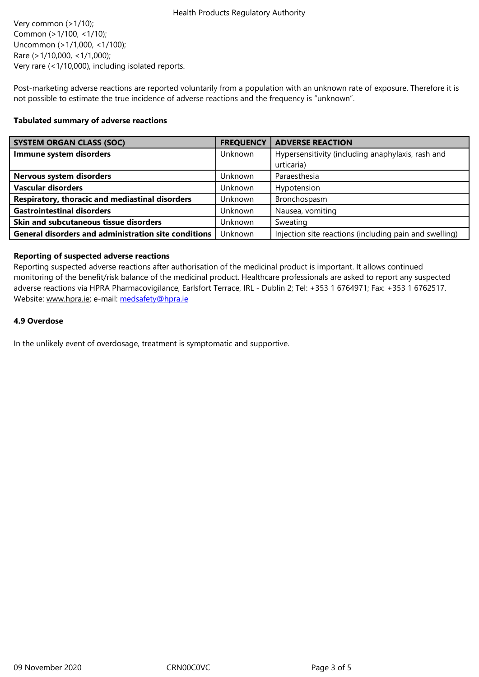Uncommon (>1/1,000, <1/100); Rare (>1/10,000, <1/1,000); Very rare (<1/10,000), including isolated reports.

Post-marketing adverse reactions are reported voluntarily from a population with an unknown rate of exposure. Therefore it is not possible to estimate the true incidence of adverse reactions and the frequency is "unknown".

#### **Tabulated summary of adverse reactions**

| <b>SYSTEM ORGAN CLASS (SOC)</b>                             | <b>FREQUENCY</b> | <b>ADVERSE REACTION</b>                                |
|-------------------------------------------------------------|------------------|--------------------------------------------------------|
| Immune system disorders                                     | Unknown          | Hypersensitivity (including anaphylaxis, rash and      |
|                                                             |                  | urticaria)                                             |
| Nervous system disorders                                    | Unknown          | Paraesthesia                                           |
| <b>Vascular disorders</b>                                   | Unknown          | Hypotension                                            |
| Respiratory, thoracic and mediastinal disorders             | Unknown          | Bronchospasm                                           |
| <b>Gastrointestinal disorders</b>                           | Unknown          | Nausea, vomiting                                       |
| Skin and subcutaneous tissue disorders                      | Unknown          | Sweating                                               |
| <b>General disorders and administration site conditions</b> | Unknown          | Injection site reactions (including pain and swelling) |

# **Reporting of suspected adverse reactions**

Reporting suspected adverse reactions after authorisation of the medicinal product is important. It allows continued monitoring of the benefit/risk balance of the medicinal product. Healthcare professionals are asked to report any suspected adverse reactions via HPRA Pharmacovigilance, Earlsfort Terrace, IRL - Dublin 2; Tel: +353 1 6764971; Fax: +353 1 6762517. Website: www.hpra.ie; e-mail: medsafety@hpra.ie

# **4.9 Overdose**

In the un[likely event o](http://www.hpra.ie/)f overd[osage, treatment is s](mailto:medsafety@hpra.ie)ymptomatic and supportive.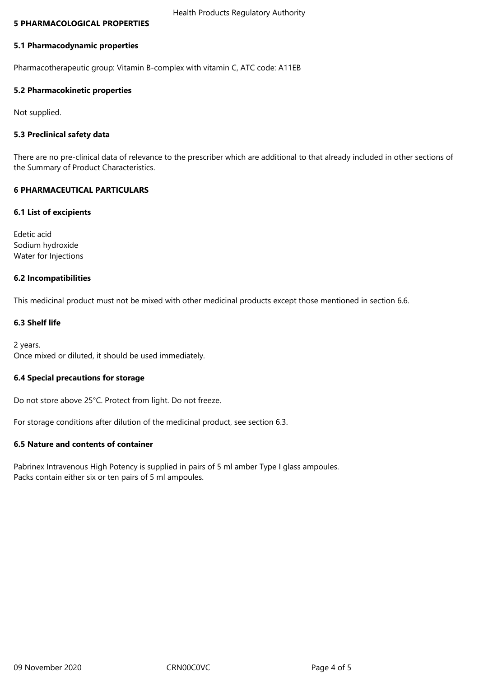#### **5 PHARMACOLOGICAL PROPERTIES**

#### **5.1 Pharmacodynamic properties**

Pharmacotherapeutic group: Vitamin B-complex with vitamin C, ATC code: A11EB

# **5.2 Pharmacokinetic properties**

Not supplied.

# **5.3 Preclinical safety data**

There are no pre-clinical data of relevance to the prescriber which are additional to that already included in other sections of the Summary of Product Characteristics.

# **6 PHARMACEUTICAL PARTICULARS**

# **6.1 List of excipients**

Edetic acid Sodium hydroxide Water for Injections

# **6.2 Incompatibilities**

This medicinal product must not be mixed with other medicinal products except those mentioned in section 6.6.

# **6.3 Shelf life**

2 years. Once mixed or diluted, it should be used immediately.

# **6.4 Special precautions for storage**

Do not store above 25°C. Protect from light. Do not freeze.

For storage conditions after dilution of the medicinal product, see section 6.3.

# **6.5 Nature and contents of container**

Pabrinex Intravenous High Potency is supplied in pairs of 5 ml amber Type I glass ampoules. Packs contain either six or ten pairs of 5 ml ampoules.